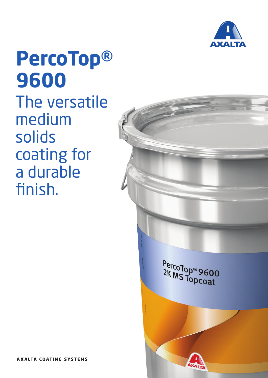

**PercoTop® 9600** The versatile medium solids coating for a durable finish.